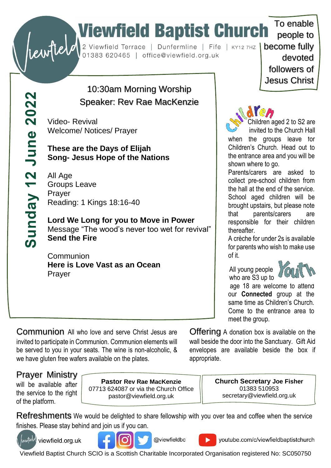# To enable<br>
Substitute of the Church To enable<br>
Substitute of the Church To enable<br>
Dunfermline | Fife | KY12 7HZ | become fully<br>
devoted

people to devoted followers of Jesus Christ

To enable

## 10:30am Morning Worship Speaker: Rev Rae MacKenzie

Video- Revival Welcome/ Notices/ Prayer

### **These are the Days of Elijah Song- Jesus Hope of the Nations**

All Age Groups Leave Prayer Reading: 1 Kings 18:16-40

**Lord We Long for you to Move in Power** Message "The wood's never too wet for revival" **Send the Fire**

**Communion Here is Love Vast as an Ocean** Prayer

Children aged 2 to S2 are invited to the Church Hall

when the groups leave for Children's Church. Head out to the entrance area and you will be shown where to go.

Parents/carers are asked to collect pre-school children from the hall at the end of the service. School aged children will be brought upstairs, but please note that parents/carers are responsible for their children thereafter.

A crèche for under 2s is available for parents who wish to make use of it.

 All young people who are S3 up to



age 18 are welcome to attend our **Connected** group at the same time as Children's Church. Come to the entrance area to meet the group.

Communion All who love and serve Christ Jesus are invited to participate in Communion. Communion elements will be served to you in your seats. The wine is non-alcoholic, & we have gluten free wafers available on the plates.

Offering A donation box is available on the wall beside the door into the Sanctuary. Gift Aid envelopes are available beside the box if appropriate.

## Prayer Ministry

will be available after the service to the right of the platform.

**Pastor Rev Rae MacKenzie** 07713 624087 or via the Church Office pastor@viewfield.org.uk

**Church Secretary Joe Fisher** 01383 510953 secretary@viewfield.org.uk

Refreshments We would be delighted to share fellowship with you over tea and coffee when the service finishes. Please stay behind and join us if you can.



(tewfield) viewfield.org.uk



@viewfieldbc

youtube.com/c/viewfieldbaptistchurch

Viewfield Baptist Church SCIO is a Scottish Charitable Incorporated Organisation registered No: SC050750